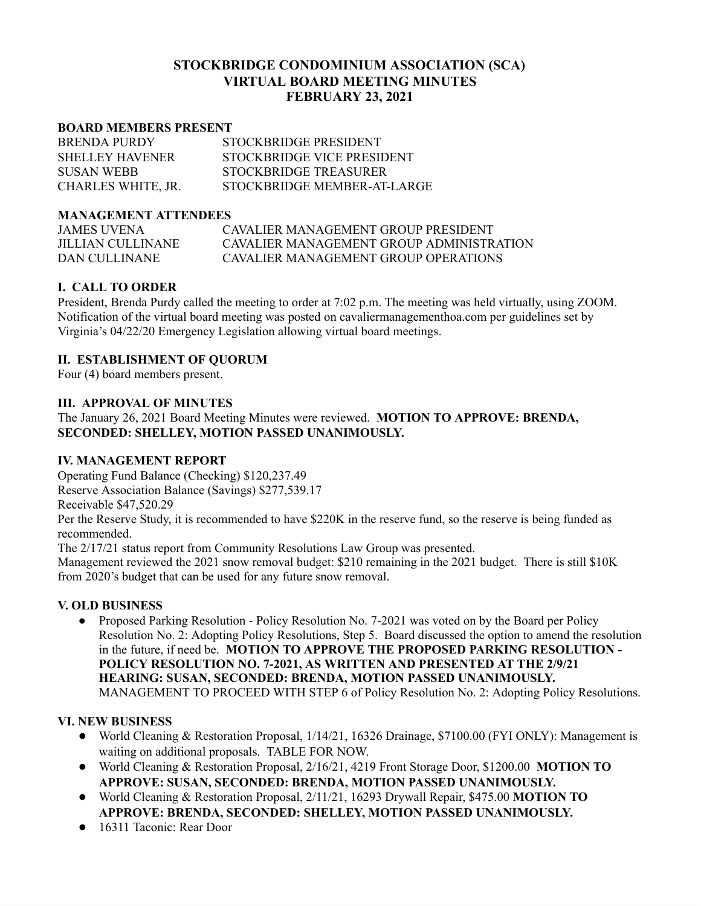# **STOCKBRIDGE CONDOMINIUM ASSOCIATION (SCA) VIRTUAL BOARD MEETING MINUTES FEBRUARY 23, 2021**

#### **BOARD MEMBERS PRESENT**

| <b>BRENDA PURDY</b>    | STOCKBRIDGE PRESIDENT       |
|------------------------|-----------------------------|
| <b>SHELLEY HAVENER</b> | STOCKBRIDGE VICE PRESIDENT  |
| <b>SUSAN WEBB</b>      | STOCKBRIDGE TREASURER       |
| CHARLES WHITE, JR.     | STOCKBRIDGE MEMBER-AT-LARGE |

### **MANAGEMENT ATTENDEES**

JAMES UVENA CAVALIER MANAGEMENT GROUP PRESIDENT JILLIAN CULLINANE CAVALIER MANAGEMENT GROUP ADMINISTRATION DAN CULLINANE CAVALIER MANAGEMENT GROUP OPERATIONS

### **I. CALL TO ORDER**

President, Brenda Purdy called the meeting to order at 7:02 p.m. The meeting was held virtually, using ZOOM. Notification of the virtual board meeting was posted on cavaliermanagementhoa.com per guidelines set by Virginia's 04/22/20 Emergency Legislation allowing virtual board meetings.

## **II. ESTABLISHMENT OF QUORUM**

Four (4) board members present.

### **III. APPROVAL OF MINUTES**

The January 26, 2021 Board Meeting Minutes were reviewed. **MOTION TO APPROVE: BRENDA, SECONDED: SHELLEY, MOTION PASSED UNANIMOUSLY.**

#### **IV. MANAGEMENT REPORT**

Operating Fund Balance (Checking) \$120,237.49

Reserve Association Balance (Savings) \$277,539.17

Receivable \$47,520.29

Per the Reserve Study, it is recommended to have \$220K in the reserve fund, so the reserve is being funded as recommended.

The 2/17/21 status report from Community Resolutions Law Group was presented.

Management reviewed the 2021 snow removal budget: \$210 remaining in the 2021 budget. There is still \$10K from 2020's budget that can be used for any future snow removal.

## **V. OLD BUSINESS**

• Proposed Parking Resolution - Policy Resolution No. 7-2021 was voted on by the Board per Policy Resolution No. 2: Adopting Policy Resolutions, Step 5. Board discussed the option to amend the resolution in the future, if need be. **MOTION TO APPROVE THE PROPOSED PARKING RESOLUTION - POLICY RESOLUTION NO. 7-2021, AS WRITTEN AND PRESENTED AT THE 2/9/21 HEARING: SUSAN, SECONDED: BRENDA, MOTION PASSED UNANIMOUSLY.** MANAGEMENT TO PROCEED WITH STEP 6 of Policy Resolution No. 2: Adopting Policy Resolutions.

#### **VI. NEW BUSINESS**

- World Cleaning & Restoration Proposal, 1/14/21, 16326 Drainage, \$7100.00 (FYI ONLY): Management is waiting on additional proposals. TABLE FOR NOW.
- World Cleaning & Restoration Proposal, 2/16/21, 4219 Front Storage Door, \$1200.00 **MOTION TO APPROVE: SUSAN, SECONDED: BRENDA, MOTION PASSED UNANIMOUSLY.**
- World Cleaning & Restoration Proposal, 2/11/21, 16293 Drywall Repair, \$475.00 **MOTION TO APPROVE: BRENDA, SECONDED: SHELLEY, MOTION PASSED UNANIMOUSLY.**
- 16311 Taconic: Rear Door